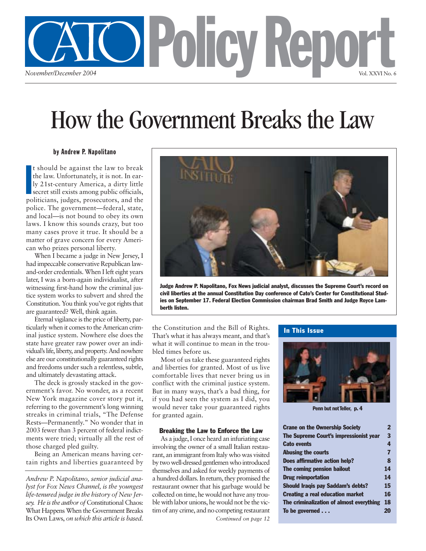

# How the Government Breaks the Law

#### by Andrew P. Napolitano

It should be against the law to break<br>the law. Unfortunately, it is not. In ear-<br>ly 21st-century America, a dirty little<br>secret still exists among public officials,<br>politicians, judges, prosecutors, and the t should be against the law to break the law. Unfortunately, it is not. In early 21st-century America, a dirty little secret still exists among public officials, police. The government—federal, state, and local—is not bound to obey its own laws. I know this sounds crazy, but too many cases prove it true. It should be a matter of grave concern for every American who prizes personal liberty.

When I became a judge in New Jersey, I had impeccable conservative Republican lawand-order credentials. When I left eight years later, I was a born-again individualist, after witnessing first-hand how the criminal justice system works to subvert and shred the Constitution. You think you've got rights that are guaranteed? Well, think again.

Eternal vigilance is the price of liberty, particularly when it comes to the American criminal justice system. Nowhere else does the state have greater raw power over an individual's life, liberty, and property. And nowhere else are our constitutionally guaranteed rights and freedoms under such a relentless, subtle, and ultimately devastating attack.

The deck is grossly stacked in the government's favor. No wonder, as a recent New York magazine cover story put it, referring to the government's long winning streaks in criminal trials, "The Defense Rests—Permanently." No wonder that in 2003 fewer than 3 percent of federal indictments were tried; virtually all the rest of those charged pled guilty.

Being an American means having certain rights and liberties guaranteed by

*Andrew P. Napolitano, senior judicial analyst for Fox News Channel, is the youngest life-tenured judge in the history of New Jersey. He is the author of* Constitutional Chaos: What Happens When the Government Breaks Its Own Laws, *on which this article is based.*



Judge Andrew P. Napolitano, Fox News judicial analyst, discusses the Supreme Court's record on civil liberties at the annual Constitution Day conference of Cato's Center for Constitutional Studies on September 17. Federal Election Commission chairman Brad Smith and Judge Royce Lamberth listen.

the Constitution and the Bill of Rights. That's what it has always meant, and that's what it will continue to mean in the troubled times before us.

Most of us take these guaranteed rights and liberties for granted. Most of us live comfortable lives that never bring us in conflict with the criminal justice system. But in many ways, that's a bad thing, for if you had seen the system as I did, you would never take your guaranteed rights for granted again.

#### Breaking the Law to Enforce the Law

As a judge, I once heard an infuriating case involving the owner of a small Italian restaurant, an immigrant from Italy who was visited by two well-dressed gentlemen who introduced themselves and asked for weekly payments of a hundred dollars. In return, they promised the restaurant owner that his garbage would be collected on time, he would not have any trouble with labor unions, he would not be the victim of any crime, and no competing restaurant *Continued on page 12*

### In This Issue



**Penn but not Teller,** p. 4

| <b>Crane on the Ownership Society</b>    | $\mathbf{2}$            |
|------------------------------------------|-------------------------|
| The Supreme Court's impressionist year   | $\overline{\mathbf{3}}$ |
| <b>Cato events</b>                       | 4                       |
| <b>Abusing the courts</b>                | $\overline{7}$          |
| Does affirmative action help?            | 8                       |
| The coming pension bailout               | 14                      |
| <b>Drug reimportation</b>                | 14                      |
| <b>Should Iragis pay Saddam's debts?</b> | 15                      |
| <b>Creating a real education market</b>  | 16                      |
| The criminalization of almost everything | 18                      |
| To be governed                           | 20                      |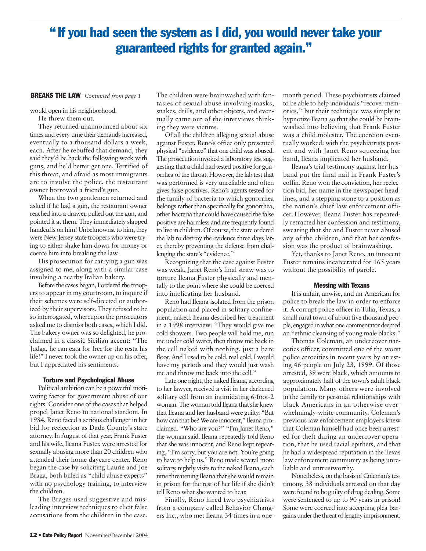## ❝If you had seen the system as I did, you would never take your guaranteed rights for granted again.<sup>99</sup>

#### BREAKS THE LAW *Continued from page 1*

would open in his neighborhood.

He threw them out.

They returned unannounced about six times and every time their demands increased, eventually to a thousand dollars a week, each. After he rebuffed that demand, they said they'd be back the following week with guns, and he'd better get one. Terrified of this threat, and afraid as most immigrants are to involve the police, the restaurant owner borrowed a friend's gun.

When the two gentlemen returned and asked if he had a gun, the restaurant owner reached into a drawer, pulled out the gun, and pointed it at them. They immediately slapped handcuffs on him! Unbeknownst to him, they were New Jersey state troopers who were trying to either shake him down for money or coerce him into breaking the law.

His prosecution for carrying a gun was assigned to me, along with a similar case involving a nearby Italian bakery.

Before the cases began, I ordered the troopers to appear in my courtroom, to inquire if their schemes were self-directed or authorized by their supervisors. They refused to be so interrogated, whereupon the prosecutors asked me to dismiss both cases, which I did. The bakery owner was so delighted, he proclaimed in a classic Sicilian accent: "The Judga, he can eata for free for the resta his life!" I never took the owner up on his offer, but I appreciated his sentiments.

#### Torture and Psychological Abuse

Political ambition can be a powerful motivating factor for government abuse of our rights. Consider one of the cases that helped propel Janet Reno to national stardom. In 1984, Reno faced a serious challenger in her bid for reelection as Dade County's state attorney. In August of that year, Frank Fuster and his wife, Ileana Fuster, were arrested for sexually abusing more than 20 children who attended their home daycare center. Reno began the case by soliciting Laurie and Joe Braga, both billed as "child abuse experts" with no psychology training, to interview the children.

The Bragas used suggestive and misleading interview techniques to elicit false accusations from the children in the case. The children were brainwashed with fantasies of sexual abuse involving masks, snakes, drills, and other objects, and eventually came out of the interviews thinking they were victims.

Of all the children alleging sexual abuse against Fuster, Reno's office only presented physical "evidence" that one child was abused. The prosecution invoked a laboratory test suggesting that a child had tested positive for gonorrhea of the throat. However, the lab test that was performed is very unreliable and often gives false positives. Reno's agents tested for the family of bacteria to which gonorrhea belongs rather than specifically for gonorrhea; other bacteria that could have caused the false positive are harmless and are frequently found to live in children. Of course, the state ordered the lab to destroy the evidence three days later, thereby preventing the defense from challenging the state's "evidence."

Recognizing that the case against Fuster was weak, Janet Reno's final straw was to torture Ileana Fuster physically and mentally to the point where she could be coerced into implicating her husband.

Reno had Ileana isolated from the prison population and placed in solitary confinement, naked. Ileana described her treatment in a 1998 interview: "They would give me cold showers. Two people will hold me, run me under cold water, then throw me back in the cell naked with nothing, just a bare floor. And I used to be cold, real cold. I would have my periods and they would just wash me and throw me back into the cell."

Late one night, the naked Ileana, according to her lawyer, received a visit in her darkened solitary cell from an intimidating 6-foot-2 woman. The woman told Ileana that she knew that Ileana and her husband were guilty. "But how can that be? We are innocent," Ileana proclaimed. "Who are you?" "I'm Janet Reno," the woman said. Ileana repeatedly told Reno that she was innocent, and Reno kept repeating, "I'm sorry, but you are not. You're going to have to help us." Reno made several more solitary, nightly visits to the naked Ileana, each time threatening Ileana that she would remain in prison for the rest of her life if she didn't tell Reno what she wanted to hear.

Finally, Reno hired two psychiatrists from a company called Behavior Changers Inc., who met Ileana 34 times in a one-

month period. These psychiatrists claimed to be able to help individuals "recover memories," but their technique was simply to hypnotize Ileana so that she could be brainwashed into believing that Frank Fuster was a child molester. The coercion eventually worked: with the psychiatrists present and with Janet Reno squeezing her hand, Ileana implicated her husband.

Ileana's trial testimony against her husband put the final nail in Frank Fuster's coffin. Reno won the conviction, her reelection bid, her name in the newspaper headlines, and a stepping stone to a position as the nation's chief law enforcement officer. However, Ileana Fuster has repeatedly retracted her confession and testimony, swearing that she and Fuster never abused any of the children, and that her confession was the product of brainwashing.

Yet, thanks to Janet Reno, an innocent Fuster remains incarcerated for 165 years without the possibility of parole.

#### Messing with Texans

It is unfair, unwise, and un-American for police to break the law in order to enforce it. A corrupt police officer in Tulia, Texas, a small rural town of about five thousand people, engaged in what one commentator deemed an "ethnic cleansing of young male blacks."

Thomas Coleman, an undercover narcotics officer, committed one of the worst police atrocities in recent years by arresting 46 people on July 23, 1999. Of those arrested, 39 were black, which amounts to approximately half of the town's adult black population. Many others were involved in the family or personal relationships with black Americans in an otherwise overwhelmingly white community. Coleman's previous law enforcement employers knew that Coleman himself had once been arrested for theft during an undercover operation, that he used racial epithets, and that he had a widespread reputation in the Texas law enforcement community as being unreliable and untrustworthy.

Nonetheless, on the basis of Coleman's testimony, 38 individuals arrested on that day were found to be guilty of drug dealing. Some were sentenced to up to 90 years in prison! Some were coerced into accepting plea bargains under the threat of lengthy imprisonment.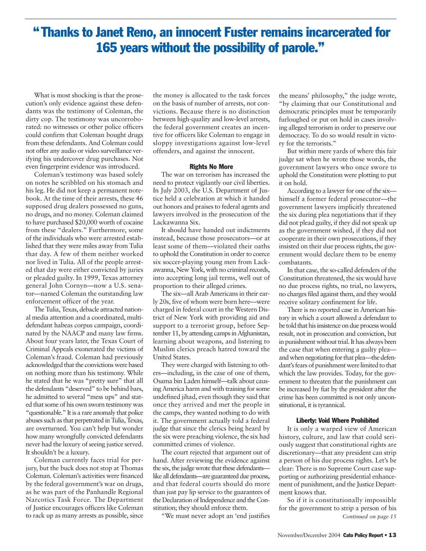## ❝Thanks to Janet Reno, an innocent Fuster remains incarcerated for 165 years without the possibility of parole.<sup>99</sup>

What is most shocking is that the prosecution's only evidence against these defendants was the testimony of Coleman, the dirty cop. The testimony was uncorroborated: no witnesses or other police officers could confirm that Coleman bought drugs from these defendants. And Coleman could not offer any audio or video surveillance verifying his undercover drug purchases. Not even fingerprint evidence was introduced.

Coleman's testimony was based solely on notes he scribbled on his stomach and his leg. He did not keep a permanent notebook. At the time of their arrests, these 46 supposed drug dealers possessed no guns, no drugs, and no money. Coleman claimed to have purchased \$20,000 worth of cocaine from these "dealers." Furthermore, some of the individuals who were arrested established that they were miles away from Tulia that day. A few of them neither worked nor lived in Tulia. All of the people arrested that day were either convicted by juries or pleaded guilty. In 1999, Texas attorney general John Cornyn—now a U.S. senator—named Coleman the outstanding law enforcement officer of the year.

The Tulia, Texas, debacle attracted national media attention and a coordinated, multidefendant habeas corpus campaign, coordinated by the NAACP and many law firms. About four years later, the Texas Court of Criminal Appeals exonerated the victims of Coleman's fraud. Coleman had previously acknowledged that the convictions were based on nothing more than his testimony. While he stated that he was "pretty sure" that all the defendants "deserved" to be behind bars, he admitted to several "mess ups" and stated that some of his own sworn testimony was "questionable." It is a rare anomaly that police abuses such as that perpetrated in Tulia, Texas, are overturned. You can't help but wonder how many wrongfully convicted defendants never had the luxury of seeing justice served. It shouldn't be a luxury.

Coleman currently faces trial for perjury, but the buck does not stop at Thomas Coleman. Coleman's activities were financed by the federal government's war on drugs, as he was part of the Panhandle Regional Narcotics Task Force. The Department of Justice encourages officers like Coleman to rack up as many arrests as possible, since

the money is allocated to the task forces on the basis of number of arrests, not convictions. Because there is no distinction between high-quality and low-level arrests, the federal government creates an incentive for officers like Coleman to engage in sloppy investigations against low-level offenders, and against the innocent.

#### Rights No More

The war on terrorism has increased the need to protect vigilantly our civil liberties. In July 2003, the U.S. Department of Justice held a celebration at which it handed out honors and praises to federal agents and lawyers involved in the prosecution of the Lackawanna Six.

It should have handed out indictments instead, because those prosecutors—or at least some of them—violated their oaths to uphold the Constitution in order to coerce six soccer-playing young men from Lackawanna, New York, with no criminal records, into accepting long jail terms, well out of proportion to their alleged crimes.

The six—all Arab Americans in their early 20s, five of whom were born here—were charged in federal court in the Western District of New York with providing aid and support to a terrorist group, before September 11, by attending camps in Afghanistan, learning about weapons, and listening to Muslim clerics preach hatred toward the United States.

They were charged with listening to others—including, in the case of one of them, Osama bin Laden himself—talk about causing America harm and with training for some undefined jihad, even though they said that once they arrived and met the people in the camps, they wanted nothing to do with it. The government actually told a federal judge that since the clerics being heard by the six were preaching violence, the six had committed crimes of violence.

The court rejected that argument out of hand. After reviewing the evidence against the six, the judge wrote that these defendants like all defendants—are guaranteed due process, and that federal courts should do more than just pay lip service to the guarantees of the Declaration of Independence and the Constitution; they should enforce them.

"We must never adopt an 'end justifies

the means' philosophy," the judge wrote, "by claiming that our Constitutional and democratic principles must be temporarily furloughed or put on hold in cases involving alleged terrorism in order to preserve our democracy. To do so would result in victory for the terrorists."

But within mere yards of where this fair judge sat when he wrote those words, the government lawyers who once swore to uphold the Constitution were plotting to put it on hold.

According to a lawyer for one of the six himself a former federal prosecutor—the government lawyers implicitly threatened the six during plea negotiations that if they did not plead guilty, if they did not speak up as the government wished, if they did not cooperate in their own prosecutions, if they insisted on their due process rights, the government would declare them to be enemy combatants.

In that case, the so-called defenders of the Constitution threatened, the six would have no due process rights, no trial, no lawyers, no charges filed against them, and they would receive solitary confinement for life.

There is no reported case in American history in which a court allowed a defendant to be told that his insistence on due process would result, not in prosecution and conviction, but in punishment without trial. It has always been the case that when entering a guilty plea and when negotiating for that plea—the defendant's fears of punishment were limited to that which the law provides. Today, for the government to threaten that the punishment can be increased by fiat by the president after the crime has been committed is not only unconstitutional, it is tyrannical.

#### Liberty: Void Where Prohibited

It is only a warped view of American history, culture, and law that could seriously suggest that constitutional rights are discretionary—that any president can strip a person of his due process rights. Let's be clear: There is no Supreme Court case supporting or authorizing presidential enhancement of punishment, and the Justice Department knows that.

So if it is constitutionally impossible for the government to strip a person of his *Continued on page 15*